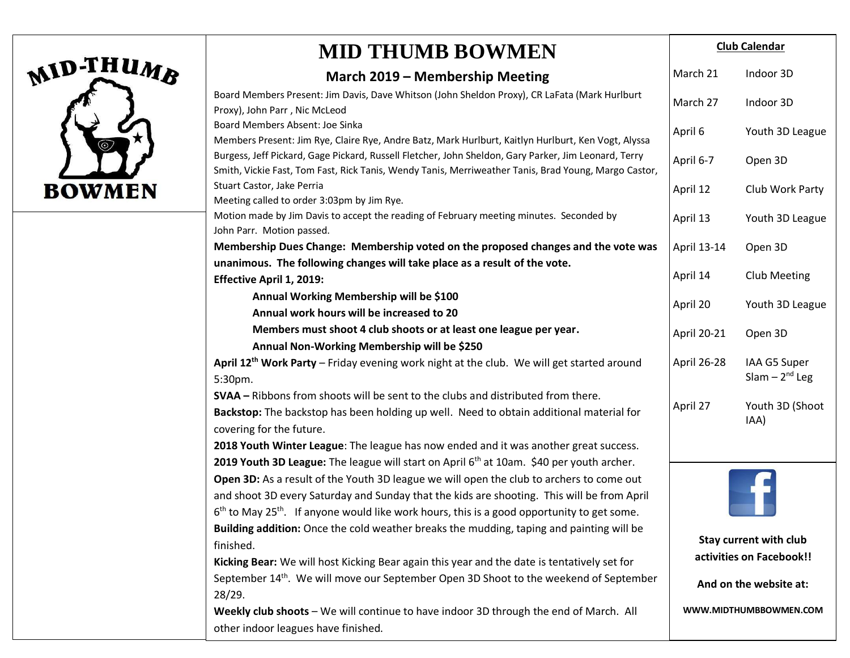|               | <b>MID THUMB BOWMEN</b>                                                                                                                                                                                                                                                                            | <b>Club Calendar</b>                               |                                    |
|---------------|----------------------------------------------------------------------------------------------------------------------------------------------------------------------------------------------------------------------------------------------------------------------------------------------------|----------------------------------------------------|------------------------------------|
| MID-THUMB     | March 2019 – Membership Meeting                                                                                                                                                                                                                                                                    | March 21                                           | Indoor 3D                          |
|               | Board Members Present: Jim Davis, Dave Whitson (John Sheldon Proxy), CR LaFata (Mark Hurlburt<br>Proxy), John Parr, Nic McLeod                                                                                                                                                                     | March 27                                           | Indoor 3D                          |
|               | Board Members Absent: Joe Sinka<br>Members Present: Jim Rye, Claire Rye, Andre Batz, Mark Hurlburt, Kaitlyn Hurlburt, Ken Vogt, Alyssa                                                                                                                                                             | April 6                                            | Youth 3D League                    |
|               | Burgess, Jeff Pickard, Gage Pickard, Russell Fletcher, John Sheldon, Gary Parker, Jim Leonard, Terry<br>Smith, Vickie Fast, Tom Fast, Rick Tanis, Wendy Tanis, Merriweather Tanis, Brad Young, Margo Castor,                                                                                       | April 6-7                                          | Open 3D                            |
| <b>BOWMEN</b> | Stuart Castor, Jake Perria<br>Meeting called to order 3:03pm by Jim Rye.                                                                                                                                                                                                                           | April 12                                           | Club Work Party                    |
|               | Motion made by Jim Davis to accept the reading of February meeting minutes. Seconded by<br>John Parr. Motion passed.                                                                                                                                                                               | April 13                                           | Youth 3D League                    |
|               | Membership Dues Change: Membership voted on the proposed changes and the vote was<br>unanimous. The following changes will take place as a result of the vote.                                                                                                                                     | April 13-14                                        | Open 3D                            |
|               | <b>Effective April 1, 2019:</b>                                                                                                                                                                                                                                                                    | April 14                                           | <b>Club Meeting</b>                |
|               | Annual Working Membership will be \$100<br>Annual work hours will be increased to 20                                                                                                                                                                                                               | April 20                                           | Youth 3D League                    |
|               | Members must shoot 4 club shoots or at least one league per year.<br>Annual Non-Working Membership will be \$250                                                                                                                                                                                   | April 20-21                                        | Open 3D                            |
|               | April 12 <sup>th</sup> Work Party - Friday evening work night at the club. We will get started around<br>5:30pm.                                                                                                                                                                                   | April 26-28                                        | IAA G5 Super<br>Slam $-2^{nd}$ Leg |
|               | <b>SVAA</b> – Ribbons from shoots will be sent to the clubs and distributed from there.<br>Backstop: The backstop has been holding up well. Need to obtain additional material for<br>covering for the future.                                                                                     | April 27                                           | Youth 3D (Shoot<br>IAA)            |
|               | 2018 Youth Winter League: The league has now ended and it was another great success.<br>2019 Youth 3D League: The league will start on April 6 <sup>th</sup> at 10am. \$40 per youth archer.                                                                                                       |                                                    |                                    |
|               | Open 3D: As a result of the Youth 3D league we will open the club to archers to come out<br>and shoot 3D every Saturday and Sunday that the kids are shooting. This will be from April<br>$6th$ to May 25 <sup>th</sup> . If anyone would like work hours, this is a good opportunity to get some. |                                                    |                                    |
|               | Building addition: Once the cold weather breaks the mudding, taping and painting will be<br>finished.<br>Kicking Bear: We will host Kicking Bear again this year and the date is tentatively set for                                                                                               | Stay current with club<br>activities on Facebook!! |                                    |
|               | September 14 <sup>th</sup> . We will move our September Open 3D Shoot to the weekend of September<br>28/29.                                                                                                                                                                                        | And on the website at:                             |                                    |
|               | Weekly club shoots - We will continue to have indoor 3D through the end of March. All<br>other indoor leagues have finished.                                                                                                                                                                       |                                                    | WWW.MIDTHUMBBOWMEN.COM             |